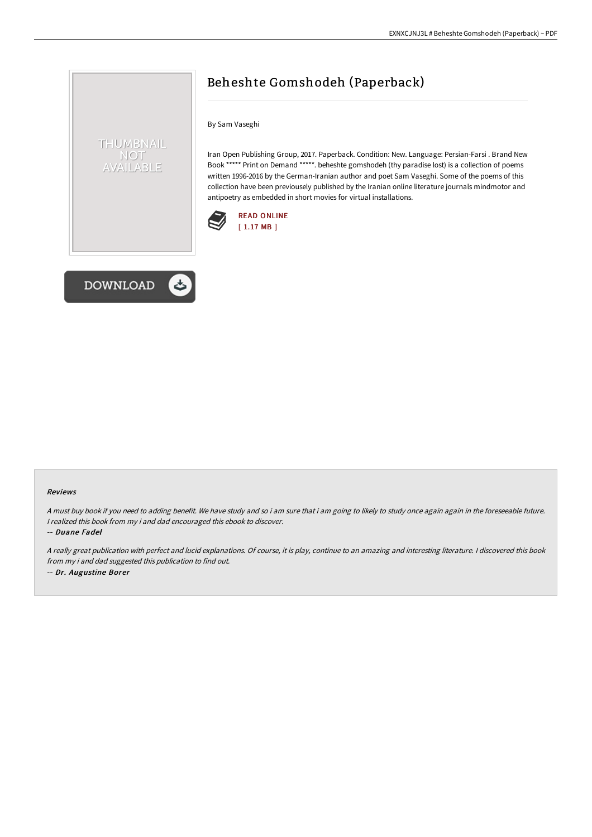# Beheshte Gomshodeh (Paperback)

By Sam Vaseghi

Iran Open Publishing Group, 2017. Paperback. Condition: New. Language: Persian-Farsi . Brand New Book \*\*\*\*\* Print on Demand \*\*\*\*\*. beheshte gomshodeh (thy paradise lost) is a collection of poems written 1996-2016 by the German-Iranian author and poet Sam Vaseghi. Some of the poems of this collection have been previousely published by the Iranian online literature journals mindmotor and antipoetry as embedded in short movies for virtual installations.





THUMBNAIL NOT **/AILABLE** 

#### Reviews

<sup>A</sup> must buy book if you need to adding benefit. We have study and so i am sure that i am going to likely to study once again again in the foreseeable future. <sup>I</sup> realized this book from my i and dad encouraged this ebook to discover.

-- Duane Fadel

<sup>A</sup> really great publication with perfect and lucid explanations. Of course, it is play, continue to an amazing and interesting literature. <sup>I</sup> discovered this book from my i and dad suggested this publication to find out. -- Dr. Augustine Borer